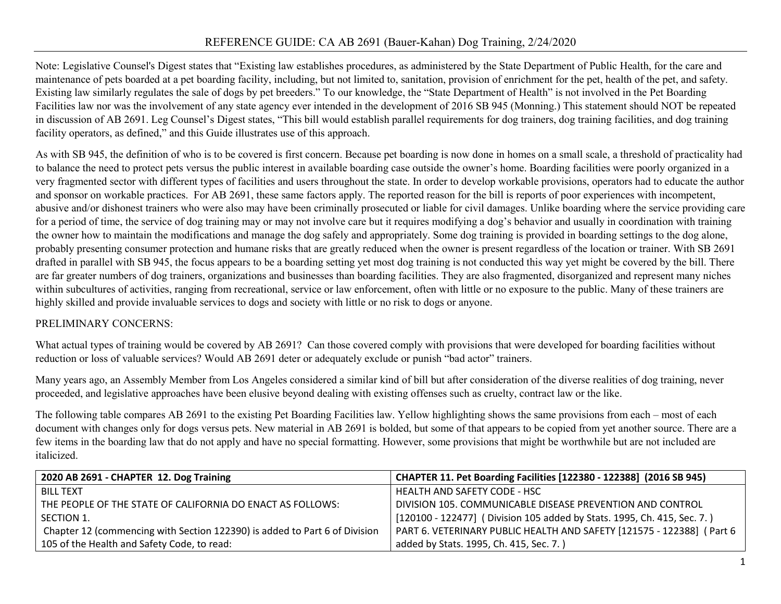## REFERENCE GUIDE: CA AB 2691 (Bauer-Kahan) Dog Training, 2/24/2020

Note: Legislative Counsel's Digest states that "Existing law establishes procedures, as administered by the State Department of Public Health, for the care and maintenance of pets boarded at a pet boarding facility, including, but not limited to, sanitation, provision of enrichment for the pet, health of the pet, and safety. Existing law similarly regulates the sale of dogs by pet breeders." To our knowledge, the "State Department of Health" is not involved in the Pet Boarding Facilities law nor was the involvement of any state agency ever intended in the development of 2016 SB 945 (Monning.) This statement should NOT be repeated in discussion of AB 2691. Leg Counsel's Digest states, "This bill would establish parallel requirements for dog trainers, dog training facilities, and dog training facility operators, as defined," and this Guide illustrates use of this approach.

As with SB 945, the definition of who is to be covered is first concern. Because pet boarding is now done in homes on a small scale, a threshold of practicality had to balance the need to protect pets versus the public interest in available boarding case outside the owner's home. Boarding facilities were poorly organized in a very fragmented sector with different types of facilities and users throughout the state. In order to develop workable provisions, operators had to educate the author and sponsor on workable practices. For AB 2691, these same factors apply. The reported reason for the bill is reports of poor experiences with incompetent, abusive and/or dishonest trainers who were also may have been criminally prosecuted or liable for civil damages. Unlike boarding where the service providing care for a period of time, the service of dog training may or may not involve care but it requires modifying a dog's behavior and usually in coordination with training the owner how to maintain the modifications and manage the dog safely and appropriately. Some dog training is provided in boarding settings to the dog alone, probably presenting consumer protection and humane risks that are greatly reduced when the owner is present regardless of the location or trainer. With SB 2691 drafted in parallel with SB 945, the focus appears to be a boarding setting yet most dog training is not conducted this way yet might be covered by the bill. There are far greater numbers of dog trainers, organizations and businesses than boarding facilities. They are also fragmented, disorganized and represent many niches within subcultures of activities, ranging from recreational, service or law enforcement, often with little or no exposure to the public. Many of these trainers are highly skilled and provide invaluable services to dogs and society with little or no risk to dogs or anyone.

## PRELIMINARY CONCERNS:

What actual types of training would be covered by AB 2691? Can those covered comply with provisions that were developed for boarding facilities without reduction or loss of valuable services? Would AB 2691 deter or adequately exclude or punish "bad actor" trainers.

Many years ago, an Assembly Member from Los Angeles considered a similar kind of bill but after consideration of the diverse realities of dog training, never proceeded, and legislative approaches have been elusive beyond dealing with existing offenses such as cruelty, contract law or the like.

The following table compares AB 2691 to the existing Pet Boarding Facilities law. Yellow highlighting shows the same provisions from each – most of each document with changes only for dogs versus pets. New material in AB 2691 is bolded, but some of that appears to be copied from yet another source. There are a few items in the boarding law that do not apply and have no special formatting. However, some provisions that might be worthwhile but are not included are italicized.

| 2020 AB 2691 - CHAPTER 12. Dog Training                                    | CHAPTER 11. Pet Boarding Facilities [122380 - 122388] (2016 SB 945)     |
|----------------------------------------------------------------------------|-------------------------------------------------------------------------|
| <b>BILL TEXT</b>                                                           | HEALTH AND SAFETY CODE - HSC                                            |
| THE PEOPLE OF THE STATE OF CALIFORNIA DO ENACT AS FOLLOWS:                 | DIVISION 105. COMMUNICABLE DISEASE PREVENTION AND CONTROL               |
| SECTION 1.                                                                 | [120100 - 122477] (Division 105 added by Stats. 1995, Ch. 415, Sec. 7.) |
| Chapter 12 (commencing with Section 122390) is added to Part 6 of Division | PART 6. VETERINARY PUBLIC HEALTH AND SAFETY [121575 - 122388] ( Part 6  |
| 105 of the Health and Safety Code, to read:                                | added by Stats. 1995, Ch. 415, Sec. 7.)                                 |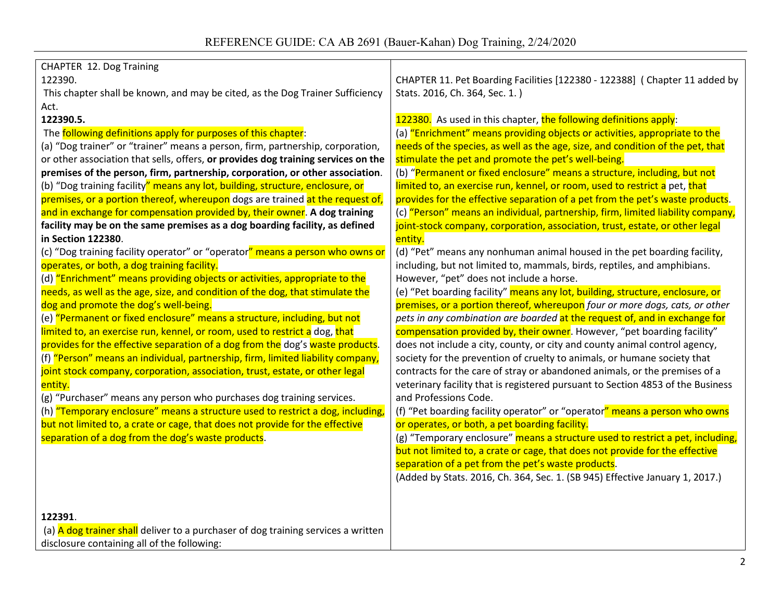| CHAPTER 12. Dog Training                                                          |                                                                                 |
|-----------------------------------------------------------------------------------|---------------------------------------------------------------------------------|
| 122390.                                                                           | CHAPTER 11. Pet Boarding Facilities [122380 - 122388] ( Chapter 11 added by     |
| This chapter shall be known, and may be cited, as the Dog Trainer Sufficiency     | Stats. 2016, Ch. 364, Sec. 1.)                                                  |
| Act.                                                                              |                                                                                 |
| 122390.5.                                                                         | 122380. As used in this chapter, the following definitions apply:               |
| The following definitions apply for purposes of this chapter:                     | (a) "Enrichment" means providing objects or activities, appropriate to the      |
| (a) "Dog trainer" or "trainer" means a person, firm, partnership, corporation,    | needs of the species, as well as the age, size, and condition of the pet, that  |
| or other association that sells, offers, or provides dog training services on the | stimulate the pet and promote the pet's well-being.                             |
| premises of the person, firm, partnership, corporation, or other association.     | (b) "Permanent or fixed enclosure" means a structure, including, but not        |
| (b) "Dog training facility" means any lot, building, structure, enclosure, or     | limited to, an exercise run, kennel, or room, used to restrict a pet, that      |
| premises, or a portion thereof, whereupon dogs are trained at the request of,     | provides for the effective separation of a pet from the pet's waste products.   |
| and in exchange for compensation provided by, their owner. A dog training         | (c) "Person" means an individual, partnership, firm, limited liability company, |
| facility may be on the same premises as a dog boarding facility, as defined       | joint-stock company, corporation, association, trust, estate, or other legal    |
| in Section 122380.                                                                | entity.                                                                         |
| (c) "Dog training facility operator" or "operator" means a person who owns or     | (d) "Pet" means any nonhuman animal housed in the pet boarding facility,        |
| operates, or both, a dog training facility.                                       | including, but not limited to, mammals, birds, reptiles, and amphibians.        |
| (d) "Enrichment" means providing objects or activities, appropriate to the        | However, "pet" does not include a horse.                                        |
| needs, as well as the age, size, and condition of the dog, that stimulate the     | (e) "Pet boarding facility" means any lot, building, structure, enclosure, or   |
| dog and promote the dog's well-being.                                             | premises, or a portion thereof, whereupon four or more dogs, cats, or other     |
| (e) "Permanent or fixed enclosure" means a structure, including, but not          | pets in any combination are boarded at the request of, and in exchange for      |
| limited to, an exercise run, kennel, or room, used to restrict a dog, that        | compensation provided by, their owner. However, "pet boarding facility"         |
| provides for the effective separation of a dog from the dog's waste products.     | does not include a city, county, or city and county animal control agency,      |
| (f) "Person" means an individual, partnership, firm, limited liability company,   | society for the prevention of cruelty to animals, or humane society that        |
| joint stock company, corporation, association, trust, estate, or other legal      | contracts for the care of stray or abandoned animals, or the premises of a      |
| entity.                                                                           | veterinary facility that is registered pursuant to Section 4853 of the Business |
| (g) "Purchaser" means any person who purchases dog training services.             | and Professions Code.                                                           |
| (h) "Temporary enclosure" means a structure used to restrict a dog, including,    | (f) "Pet boarding facility operator" or "operator" means a person who owns      |
| but not limited to, a crate or cage, that does not provide for the effective      | or operates, or both, a pet boarding facility.                                  |
| separation of a dog from the dog's waste products.                                | (g) "Temporary enclosure" means a structure used to restrict a pet, including,  |
|                                                                                   | but not limited to, a crate or cage, that does not provide for the effective    |
|                                                                                   | separation of a pet from the pet's waste products.                              |
|                                                                                   | (Added by Stats. 2016, Ch. 364, Sec. 1. (SB 945) Effective January 1, 2017.)    |
|                                                                                   |                                                                                 |
|                                                                                   |                                                                                 |
| 122391.                                                                           |                                                                                 |
| (a) A dog trainer shall deliver to a purchaser of dog training services a written |                                                                                 |
| disclosure containing all of the following:                                       |                                                                                 |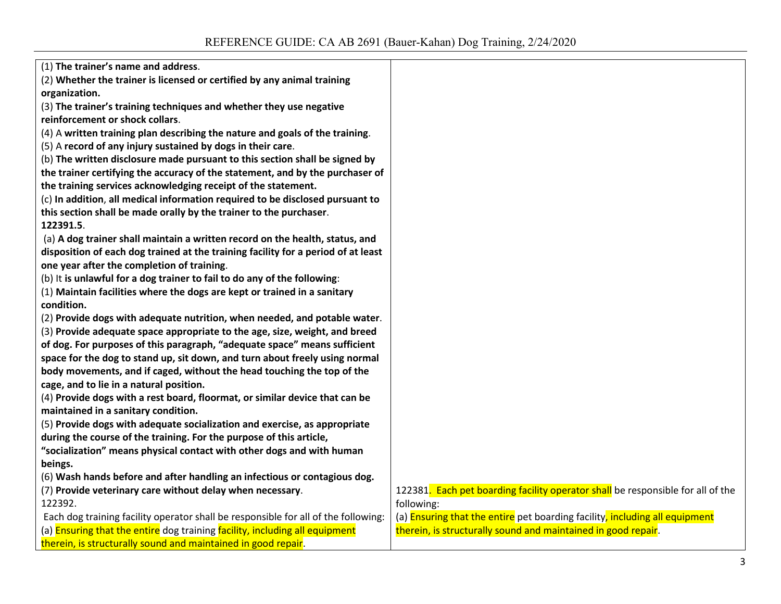| (1) The trainer's name and address.                                                |                                                                                 |
|------------------------------------------------------------------------------------|---------------------------------------------------------------------------------|
| (2) Whether the trainer is licensed or certified by any animal training            |                                                                                 |
| organization.                                                                      |                                                                                 |
| (3) The trainer's training techniques and whether they use negative                |                                                                                 |
| reinforcement or shock collars.                                                    |                                                                                 |
| (4) A written training plan describing the nature and goals of the training.       |                                                                                 |
| (5) A record of any injury sustained by dogs in their care.                        |                                                                                 |
| (b) The written disclosure made pursuant to this section shall be signed by        |                                                                                 |
| the trainer certifying the accuracy of the statement, and by the purchaser of      |                                                                                 |
| the training services acknowledging receipt of the statement.                      |                                                                                 |
| (c) In addition, all medical information required to be disclosed pursuant to      |                                                                                 |
| this section shall be made orally by the trainer to the purchaser.                 |                                                                                 |
| 122391.5.                                                                          |                                                                                 |
| (a) A dog trainer shall maintain a written record on the health, status, and       |                                                                                 |
| disposition of each dog trained at the training facility for a period of at least  |                                                                                 |
| one year after the completion of training.                                         |                                                                                 |
| (b) It is unlawful for a dog trainer to fail to do any of the following:           |                                                                                 |
| (1) Maintain facilities where the dogs are kept or trained in a sanitary           |                                                                                 |
| condition.                                                                         |                                                                                 |
| (2) Provide dogs with adequate nutrition, when needed, and potable water.          |                                                                                 |
| (3) Provide adequate space appropriate to the age, size, weight, and breed         |                                                                                 |
| of dog. For purposes of this paragraph, "adequate space" means sufficient          |                                                                                 |
| space for the dog to stand up, sit down, and turn about freely using normal        |                                                                                 |
| body movements, and if caged, without the head touching the top of the             |                                                                                 |
| cage, and to lie in a natural position.                                            |                                                                                 |
| (4) Provide dogs with a rest board, floormat, or similar device that can be        |                                                                                 |
| maintained in a sanitary condition.                                                |                                                                                 |
| (5) Provide dogs with adequate socialization and exercise, as appropriate          |                                                                                 |
| during the course of the training. For the purpose of this article,                |                                                                                 |
| "socialization" means physical contact with other dogs and with human              |                                                                                 |
| beings.                                                                            |                                                                                 |
| (6) Wash hands before and after handling an infectious or contagious dog.          |                                                                                 |
| (7) Provide veterinary care without delay when necessary.                          | 122381. Each pet boarding facility operator shall be responsible for all of the |
| 122392.                                                                            | following:                                                                      |
| Each dog training facility operator shall be responsible for all of the following: | (a) Ensuring that the entire pet boarding facility, including all equipment     |
| (a) Ensuring that the entire dog training facility, including all equipment        | therein, is structurally sound and maintained in good repair.                   |
| therein, is structurally sound and maintained in good repair.                      |                                                                                 |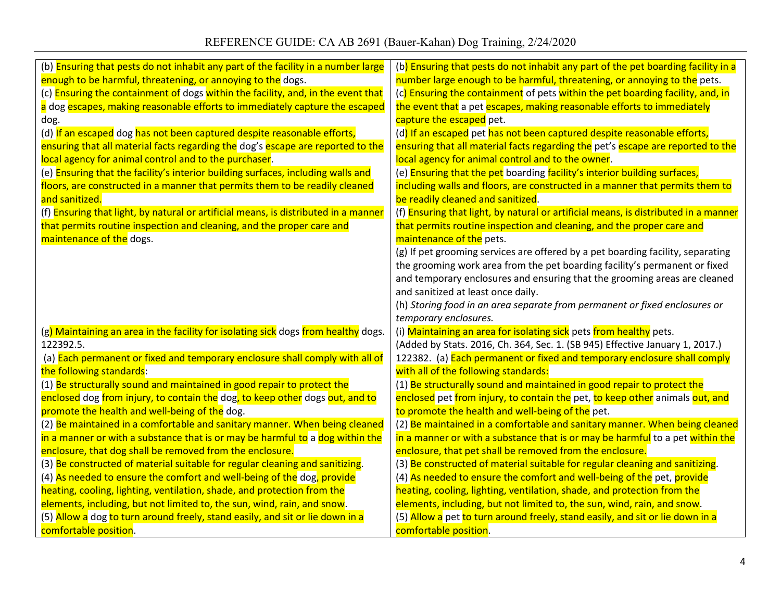## REFERENCE GUIDE: CA AB 2691 (Bauer-Kahan) Dog Training, 2/24/2020

| (b) Ensuring that pests do not inhabit any part of the facility in a number large   | (b) Ensuring that pests do not inhabit any part of the pet boarding facility in a   |
|-------------------------------------------------------------------------------------|-------------------------------------------------------------------------------------|
| enough to be harmful, threatening, or annoying to the dogs.                         | number large enough to be harmful, threatening, or annoying to the pets.            |
| (c) Ensuring the containment of dogs within the facility, and, in the event that    | (c) Ensuring the containment of pets within the pet boarding facility, and, in      |
| a dog escapes, making reasonable efforts to immediately capture the escaped         | the event that a pet escapes, making reasonable efforts to immediately              |
| dog.                                                                                | capture the escaped pet.                                                            |
| (d) If an escaped dog has not been captured despite reasonable efforts,             | (d) If an escaped pet has not been captured despite reasonable efforts,             |
| ensuring that all material facts regarding the dog's escape are reported to the     | ensuring that all material facts regarding the pet's escape are reported to the     |
| local agency for animal control and to the purchaser.                               | local agency for animal control and to the owner.                                   |
| (e) Ensuring that the facility's interior building surfaces, including walls and    | (e) Ensuring that the pet boarding facility's interior building surfaces,           |
| floors, are constructed in a manner that permits them to be readily cleaned         | including walls and floors, are constructed in a manner that permits them to        |
| and sanitized.                                                                      | be readily cleaned and sanitized.                                                   |
| (f) Ensuring that light, by natural or artificial means, is distributed in a manner | (f) Ensuring that light, by natural or artificial means, is distributed in a manner |
| that permits routine inspection and cleaning, and the proper care and               | that permits routine inspection and cleaning, and the proper care and               |
| maintenance of the dogs.                                                            | maintenance of the pets.                                                            |
|                                                                                     | (g) If pet grooming services are offered by a pet boarding facility, separating     |
|                                                                                     | the grooming work area from the pet boarding facility's permanent or fixed          |
|                                                                                     | and temporary enclosures and ensuring that the grooming areas are cleaned           |
|                                                                                     | and sanitized at least once daily.                                                  |
|                                                                                     | (h) Storing food in an area separate from permanent or fixed enclosures or          |
|                                                                                     | temporary enclosures.                                                               |
| (g) Maintaining an area in the facility for isolating sick dogs from healthy dogs.  | (i) Maintaining an area for isolating sick pets from healthy pets.                  |
| 122392.5.                                                                           | (Added by Stats. 2016, Ch. 364, Sec. 1. (SB 945) Effective January 1, 2017.)        |
| (a) Each permanent or fixed and temporary enclosure shall comply with all of        | 122382. (a) Each permanent or fixed and temporary enclosure shall comply            |
| the following standards:                                                            | with all of the following standards:                                                |
| (1) Be structurally sound and maintained in good repair to protect the              | (1) Be structurally sound and maintained in good repair to protect the              |
| enclosed dog from injury, to contain the dog, to keep other dogs out, and to        | enclosed pet from injury, to contain the pet, to keep other animals out, and        |
| promote the health and well-being of the dog.                                       | to promote the health and well-being of the pet.                                    |
| (2) Be maintained in a comfortable and sanitary manner. When being cleaned          | (2) Be maintained in a comfortable and sanitary manner. When being cleaned          |
| in a manner or with a substance that is or may be harmful to a dog within the       | in a manner or with a substance that is or may be harmful to a pet within the       |
| enclosure, that dog shall be removed from the enclosure.                            | enclosure, that pet shall be removed from the enclosure.                            |
| (3) Be constructed of material suitable for regular cleaning and sanitizing.        | (3) Be constructed of material suitable for regular cleaning and sanitizing.        |
| (4) As needed to ensure the comfort and well-being of the dog, provide              | (4) As needed to ensure the comfort and well-being of the pet, provide              |
| heating, cooling, lighting, ventilation, shade, and protection from the             | heating, cooling, lighting, ventilation, shade, and protection from the             |
| elements, including, but not limited to, the sun, wind, rain, and snow.             | elements, including, but not limited to, the sun, wind, rain, and snow.             |
| (5) Allow a dog to turn around freely, stand easily, and sit or lie down in a       | (5) Allow a pet to turn around freely, stand easily, and sit or lie down in a       |
| comfortable position.                                                               | comfortable position.                                                               |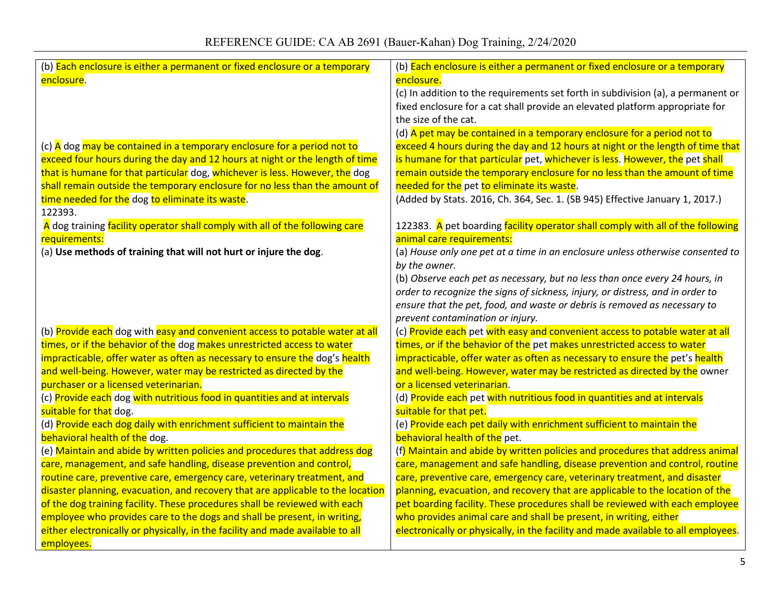| (b) Each enclosure is either a permanent or fixed enclosure or a temporary                                  | (b) Each enclosure is either a permanent or fixed enclosure or a temporary                                     |
|-------------------------------------------------------------------------------------------------------------|----------------------------------------------------------------------------------------------------------------|
| enclosure.                                                                                                  | enclosure.                                                                                                     |
|                                                                                                             | (c) In addition to the requirements set forth in subdivision (a), a permanent or                               |
|                                                                                                             | fixed enclosure for a cat shall provide an elevated platform appropriate for                                   |
|                                                                                                             | the size of the cat.                                                                                           |
|                                                                                                             | (d) A pet may be contained in a temporary enclosure for a period not to                                        |
| (c) A dog may be contained in a temporary enclosure for a period not to                                     | exceed 4 hours during the day and 12 hours at night or the length of time that                                 |
| exceed four hours during the day and 12 hours at night or the length of time                                | is humane for that particular pet, whichever is less. However, the pet shall                                   |
| that is humane for that particular dog, whichever is less. However, the dog                                 | remain outside the temporary enclosure for no less than the amount of time                                     |
| shall remain outside the temporary enclosure for no less than the amount of                                 | needed for the pet to eliminate its waste.                                                                     |
| time needed for the dog to eliminate its waste.                                                             | (Added by Stats. 2016, Ch. 364, Sec. 1. (SB 945) Effective January 1, 2017.)                                   |
| 122393.                                                                                                     |                                                                                                                |
| A dog training facility operator shall comply with all of the following care                                | 122383. A pet boarding facility operator shall comply with all of the following                                |
| requirements:                                                                                               | animal care requirements:                                                                                      |
| (a) Use methods of training that will not hurt or injure the dog.                                           | (a) House only one pet at a time in an enclosure unless otherwise consented to                                 |
|                                                                                                             | by the owner.                                                                                                  |
|                                                                                                             | (b) Observe each pet as necessary, but no less than once every 24 hours, in                                    |
|                                                                                                             | order to recognize the signs of sickness, injury, or distress, and in order to                                 |
|                                                                                                             | ensure that the pet, food, and waste or debris is removed as necessary to                                      |
|                                                                                                             | prevent contamination or injury.                                                                               |
| (b) Provide each dog with easy and convenient access to potable water at all                                | (c) Provide each pet with easy and convenient access to potable water at all                                   |
| times, or if the behavior of the dog makes unrestricted access to water                                     | times, or if the behavior of the pet makes unrestricted access to water                                        |
| impracticable, offer water as often as necessary to ensure the dog's health                                 | impracticable, offer water as often as necessary to ensure the pet's health                                    |
| and well-being. However, water may be restricted as directed by the                                         | and well-being. However, water may be restricted as directed by the owner                                      |
| purchaser or a licensed veterinarian.                                                                       | or a licensed veterinarian.                                                                                    |
| (c) Provide each dog with nutritious food in quantities and at intervals                                    | (d) Provide each pet with nutritious food in quantities and at intervals                                       |
| suitable for that dog.                                                                                      | suitable for that pet.                                                                                         |
| (d) Provide each dog daily with enrichment sufficient to maintain the                                       | (e) Provide each pet daily with enrichment sufficient to maintain the                                          |
| behavioral health of the dog.<br>(e) Maintain and abide by written policies and procedures that address dog | behavioral health of the pet.<br>(f) Maintain and abide by written policies and procedures that address animal |
| care, management, and safe handling, disease prevention and control,                                        | care, management and safe handling, disease prevention and control, routine                                    |
| routine care, preventive care, emergency care, veterinary treatment, and                                    | care, preventive care, emergency care, veterinary treatment, and disaster                                      |
| disaster planning, evacuation, and recovery that are applicable to the location                             | planning, evacuation, and recovery that are applicable to the location of the                                  |
| of the dog training facility. These procedures shall be reviewed with each                                  | pet boarding facility. These procedures shall be reviewed with each employee                                   |
| employee who provides care to the dogs and shall be present, in writing,                                    | who provides animal care and shall be present, in writing, either                                              |
| either electronically or physically, in the facility and made available to all                              | electronically or physically, in the facility and made available to all employees.                             |
| employees.                                                                                                  |                                                                                                                |
|                                                                                                             |                                                                                                                |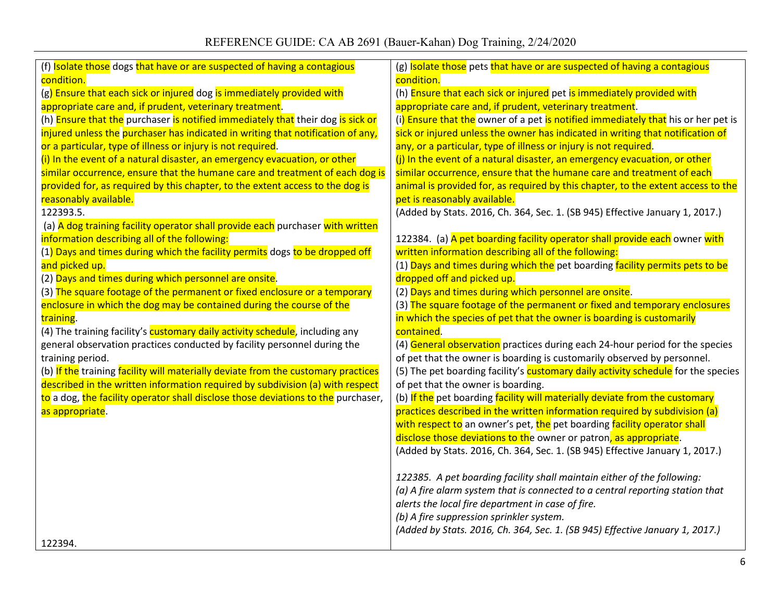| (f) Isolate those dogs that have or are suspected of having a contagious          | (g) Isolate those pets that have or are suspected of having a contagious          |
|-----------------------------------------------------------------------------------|-----------------------------------------------------------------------------------|
| condition.                                                                        | condition.                                                                        |
| (g) Ensure that each sick or injured dog is immediately provided with             | (h) Ensure that each sick or injured pet is immediately provided with             |
| appropriate care and, if prudent, veterinary treatment.                           | appropriate care and, if prudent, veterinary treatment.                           |
| (h) Ensure that the purchaser is notified immediately that their dog is sick or   | (i) Ensure that the owner of a pet is notified immediately that his or her pet is |
| injured unless the purchaser has indicated in writing that notification of any,   | sick or injured unless the owner has indicated in writing that notification of    |
| or a particular, type of illness or injury is not required.                       | any, or a particular, type of illness or injury is not required.                  |
| (i) In the event of a natural disaster, an emergency evacuation, or other         | (j) In the event of a natural disaster, an emergency evacuation, or other         |
| similar occurrence, ensure that the humane care and treatment of each dog is      | similar occurrence, ensure that the humane care and treatment of each             |
| provided for, as required by this chapter, to the extent access to the dog is     | animal is provided for, as required by this chapter, to the extent access to the  |
| reasonably available.                                                             | pet is reasonably available.                                                      |
| 122393.5.                                                                         | (Added by Stats. 2016, Ch. 364, Sec. 1. (SB 945) Effective January 1, 2017.)      |
| (a) A dog training facility operator shall provide each purchaser with written    |                                                                                   |
| information describing all of the following:                                      | 122384. (a) A pet boarding facility operator shall provide each owner with        |
| (1) Days and times during which the facility permits dogs to be dropped off       | written information describing all of the following:                              |
| and picked up.                                                                    | (1) Days and times during which the pet boarding facility permits pets to be      |
| (2) Days and times during which personnel are onsite.                             | dropped off and picked up.                                                        |
| (3) The square footage of the permanent or fixed enclosure or a temporary         | (2) Days and times during which personnel are onsite.                             |
| enclosure in which the dog may be contained during the course of the              | (3) The square footage of the permanent or fixed and temporary enclosures         |
| training.                                                                         | in which the species of pet that the owner is boarding is customarily             |
| (4) The training facility's customary daily activity schedule, including any      | contained.                                                                        |
| general observation practices conducted by facility personnel during the          | (4) General observation practices during each 24-hour period for the species      |
| training period.                                                                  | of pet that the owner is boarding is customarily observed by personnel.           |
| (b) If the training facility will materially deviate from the customary practices | (5) The pet boarding facility's customary daily activity schedule for the species |
| described in the written information required by subdivision (a) with respect     | of pet that the owner is boarding.                                                |
| to a dog, the facility operator shall disclose those deviations to the purchaser, | (b) If the pet boarding facility will materially deviate from the customary       |
| as appropriate.                                                                   | practices described in the written information required by subdivision (a)        |
|                                                                                   | with respect to an owner's pet, the pet boarding facility operator shall          |
|                                                                                   | disclose those deviations to the owner or patron, as appropriate.                 |
|                                                                                   | (Added by Stats. 2016, Ch. 364, Sec. 1. (SB 945) Effective January 1, 2017.)      |
|                                                                                   |                                                                                   |
|                                                                                   | 122385. A pet boarding facility shall maintain either of the following:           |
|                                                                                   | (a) A fire alarm system that is connected to a central reporting station that     |
|                                                                                   | alerts the local fire department in case of fire.                                 |
|                                                                                   | (b) A fire suppression sprinkler system.                                          |
|                                                                                   | (Added by Stats. 2016, Ch. 364, Sec. 1. (SB 945) Effective January 1, 2017.)      |
| 122394.                                                                           |                                                                                   |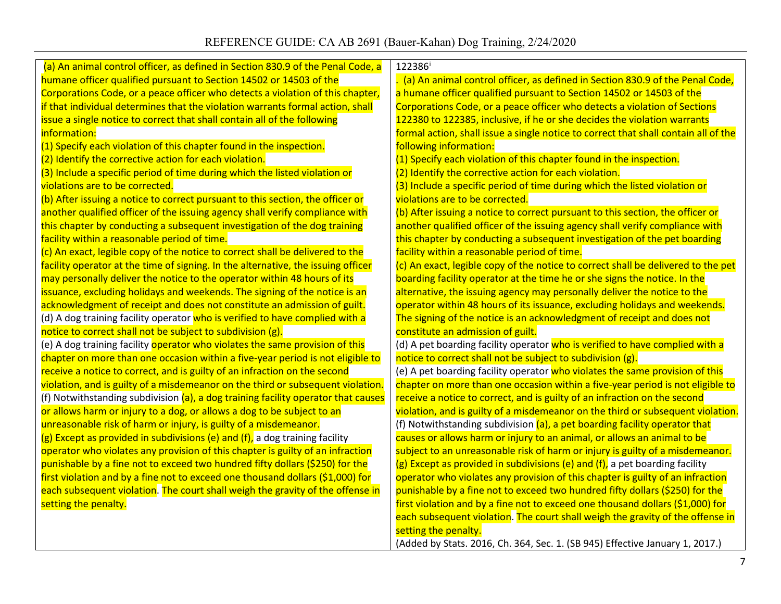| (a) An animal control officer, as defined in Section 830.9 of the Penal Code, a   | 122386 <sup>i</sup>                                                                 |
|-----------------------------------------------------------------------------------|-------------------------------------------------------------------------------------|
| humane officer qualified pursuant to Section 14502 or 14503 of the                | . (a) An animal control officer, as defined in Section 830.9 of the Penal Code,     |
| Corporations Code, or a peace officer who detects a violation of this chapter,    | a humane officer qualified pursuant to Section 14502 or 14503 of the                |
| if that individual determines that the violation warrants formal action, shall    | Corporations Code, or a peace officer who detects a violation of Sections           |
| issue a single notice to correct that shall contain all of the following          | 122380 to 122385, inclusive, if he or she decides the violation warrants            |
| information:                                                                      | formal action, shall issue a single notice to correct that shall contain all of the |
| (1) Specify each violation of this chapter found in the inspection.               | following information:                                                              |
| (2) Identify the corrective action for each violation.                            | (1) Specify each violation of this chapter found in the inspection.                 |
| (3) Include a specific period of time during which the listed violation or        | (2) Identify the corrective action for each violation.                              |
| violations are to be corrected.                                                   | (3) Include a specific period of time during which the listed violation or          |
| (b) After issuing a notice to correct pursuant to this section, the officer or    | violations are to be corrected.                                                     |
| another qualified officer of the issuing agency shall verify compliance with      | (b) After issuing a notice to correct pursuant to this section, the officer or      |
| this chapter by conducting a subsequent investigation of the dog training         | another qualified officer of the issuing agency shall verify compliance with        |
| facility within a reasonable period of time.                                      | this chapter by conducting a subsequent investigation of the pet boarding           |
| (c) An exact, legible copy of the notice to correct shall be delivered to the     | facility within a reasonable period of time.                                        |
| facility operator at the time of signing. In the alternative, the issuing officer | (c) An exact, legible copy of the notice to correct shall be delivered to the pet   |
| may personally deliver the notice to the operator within 48 hours of its          | boarding facility operator at the time he or she signs the notice. In the           |
| issuance, excluding holidays and weekends. The signing of the notice is an        | alternative, the issuing agency may personally deliver the notice to the            |
| acknowledgment of receipt and does not constitute an admission of guilt.          | operator within 48 hours of its issuance, excluding holidays and weekends.          |
| (d) A dog training facility operator who is verified to have complied with a      | The signing of the notice is an acknowledgment of receipt and does not              |
| notice to correct shall not be subject to subdivision (g).                        | constitute an admission of guilt.                                                   |
| (e) A dog training facility operator who violates the same provision of this      | (d) A pet boarding facility operator who is verified to have complied with a        |
| chapter on more than one occasion within a five-year period is not eligible to    | notice to correct shall not be subject to subdivision (g).                          |
| receive a notice to correct, and is guilty of an infraction on the second         | (e) A pet boarding facility operator who violates the same provision of this        |
| violation, and is guilty of a misdemeanor on the third or subsequent violation.   | chapter on more than one occasion within a five-year period is not eligible to      |
| (f) Notwithstanding subdivision (a), a dog training facility operator that causes | receive a notice to correct, and is guilty of an infraction on the second           |
| or allows harm or injury to a dog, or allows a dog to be subject to an            | violation, and is guilty of a misdemeanor on the third or subsequent violation.     |
| unreasonable risk of harm or injury, is guilty of a misdemeanor.                  | (f) Notwithstanding subdivision (a), a pet boarding facility operator that          |
| (g) Except as provided in subdivisions (e) and (f), a dog training facility       | causes or allows harm or injury to an animal, or allows an animal to be             |
| operator who violates any provision of this chapter is guilty of an infraction    | subject to an unreasonable risk of harm or injury is guilty of a misdemeanor.       |
| punishable by a fine not to exceed two hundred fifty dollars (\$250) for the      | $(g)$ Except as provided in subdivisions (e) and (f), a pet boarding facility       |
| first violation and by a fine not to exceed one thousand dollars (\$1,000) for    | operator who violates any provision of this chapter is guilty of an infraction      |
| each subsequent violation. The court shall weigh the gravity of the offense in    | punishable by a fine not to exceed two hundred fifty dollars (\$250) for the        |
| setting the penalty.                                                              | first violation and by a fine not to exceed one thousand dollars (\$1,000) for      |
|                                                                                   | each subsequent violation. The court shall weigh the gravity of the offense in      |
|                                                                                   | setting the penalty.                                                                |
|                                                                                   | (Added by Stats. 2016, Ch. 364, Sec. 1. (SB 945) Effective January 1, 2017.)        |